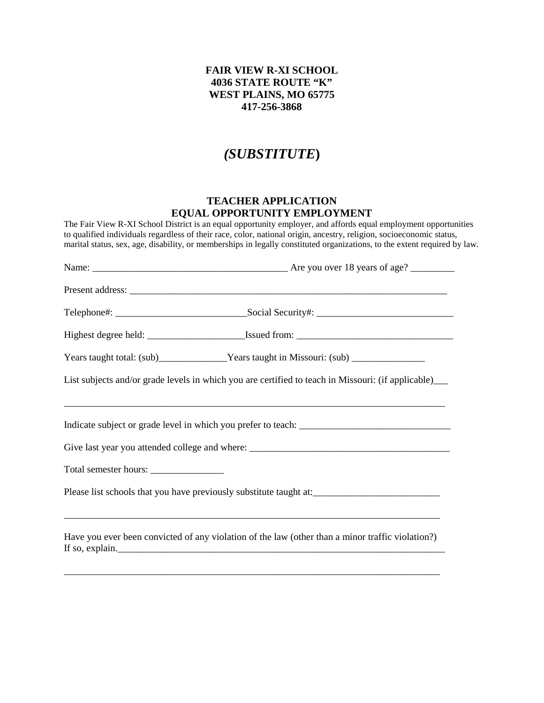## **FAIR VIEW R-XI SCHOOL 4036 STATE ROUTE "K" WEST PLAINS, MO 65775 417-256-3868**

## *(SUBSTITUTE***)**

## **TEACHER APPLICATION EQUAL OPPORTUNITY EMPLOYMENT**

The Fair View R-XI School District is an equal opportunity employer, and affords equal employment opportunities to qualified individuals regardless of their race, color, national origin, ancestry, religion, socioeconomic status, marital status, sex, age, disability, or memberships in legally constituted organizations, to the extent required by law.

|                                                                                   | Years taught total: (sub)______________Years taught in Missouri: (sub) ________________                                            |  |  |  |
|-----------------------------------------------------------------------------------|------------------------------------------------------------------------------------------------------------------------------------|--|--|--|
|                                                                                   | List subjects and/or grade levels in which you are certified to teach in Missouri: (if applicable)_______                          |  |  |  |
|                                                                                   |                                                                                                                                    |  |  |  |
| Give last year you attended college and where: __________________________________ |                                                                                                                                    |  |  |  |
|                                                                                   |                                                                                                                                    |  |  |  |
|                                                                                   | Please list schools that you have previously substitute taught at:                                                                 |  |  |  |
|                                                                                   | Have you ever been convicted of any violation of the law (other than a minor traffic violation?)<br>If so, explain. $\blacksquare$ |  |  |  |
|                                                                                   |                                                                                                                                    |  |  |  |